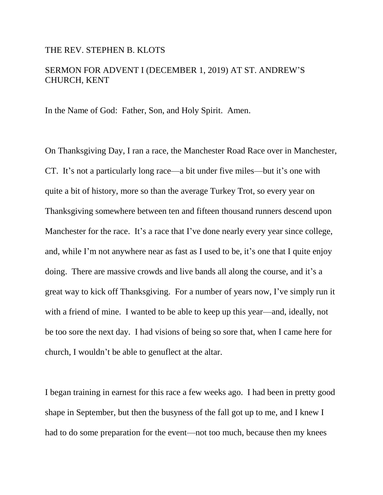## THE REV. STEPHEN B. KLOTS

## SERMON FOR ADVENT I (DECEMBER 1, 2019) AT ST. ANDREW'S CHURCH, KENT

In the Name of God: Father, Son, and Holy Spirit. Amen.

On Thanksgiving Day, I ran a race, the Manchester Road Race over in Manchester, CT. It's not a particularly long race—a bit under five miles—but it's one with quite a bit of history, more so than the average Turkey Trot, so every year on Thanksgiving somewhere between ten and fifteen thousand runners descend upon Manchester for the race. It's a race that I've done nearly every year since college, and, while I'm not anywhere near as fast as I used to be, it's one that I quite enjoy doing. There are massive crowds and live bands all along the course, and it's a great way to kick off Thanksgiving. For a number of years now, I've simply run it with a friend of mine. I wanted to be able to keep up this year—and, ideally, not be too sore the next day. I had visions of being so sore that, when I came here for church, I wouldn't be able to genuflect at the altar.

I began training in earnest for this race a few weeks ago. I had been in pretty good shape in September, but then the busyness of the fall got up to me, and I knew I had to do some preparation for the event—not too much, because then my knees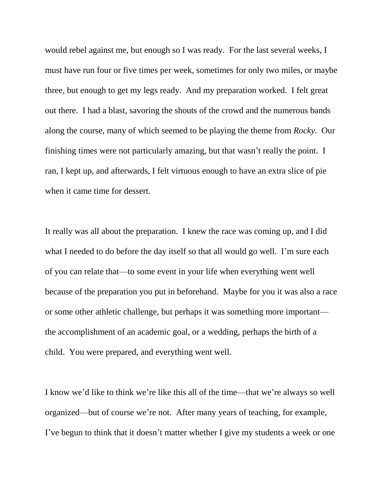would rebel against me, but enough so I was ready. For the last several weeks, I must have run four or five times per week, sometimes for only two miles, or maybe three, but enough to get my legs ready. And my preparation worked. I felt great out there. I had a blast, savoring the shouts of the crowd and the numerous bands along the course, many of which seemed to be playing the theme from *Rocky.* Our finishing times were not particularly amazing, but that wasn't really the point. I ran, I kept up, and afterwards, I felt virtuous enough to have an extra slice of pie when it came time for dessert.

It really was all about the preparation. I knew the race was coming up, and I did what I needed to do before the day itself so that all would go well. I'm sure each of you can relate that—to some event in your life when everything went well because of the preparation you put in beforehand. Maybe for you it was also a race or some other athletic challenge, but perhaps it was something more important the accomplishment of an academic goal, or a wedding, perhaps the birth of a child. You were prepared, and everything went well.

I know we'd like to think we're like this all of the time—that we're always so well organized—but of course we're not. After many years of teaching, for example, I've begun to think that it doesn't matter whether I give my students a week or one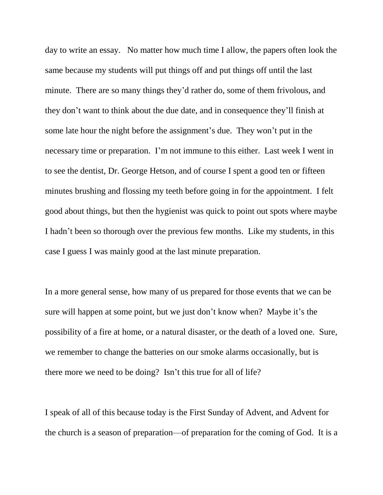day to write an essay. No matter how much time I allow, the papers often look the same because my students will put things off and put things off until the last minute. There are so many things they'd rather do, some of them frivolous, and they don't want to think about the due date, and in consequence they'll finish at some late hour the night before the assignment's due. They won't put in the necessary time or preparation. I'm not immune to this either. Last week I went in to see the dentist, Dr. George Hetson, and of course I spent a good ten or fifteen minutes brushing and flossing my teeth before going in for the appointment. I felt good about things, but then the hygienist was quick to point out spots where maybe I hadn't been so thorough over the previous few months. Like my students, in this case I guess I was mainly good at the last minute preparation.

In a more general sense, how many of us prepared for those events that we can be sure will happen at some point, but we just don't know when? Maybe it's the possibility of a fire at home, or a natural disaster, or the death of a loved one. Sure, we remember to change the batteries on our smoke alarms occasionally, but is there more we need to be doing? Isn't this true for all of life?

I speak of all of this because today is the First Sunday of Advent, and Advent for the church is a season of preparation—of preparation for the coming of God. It is a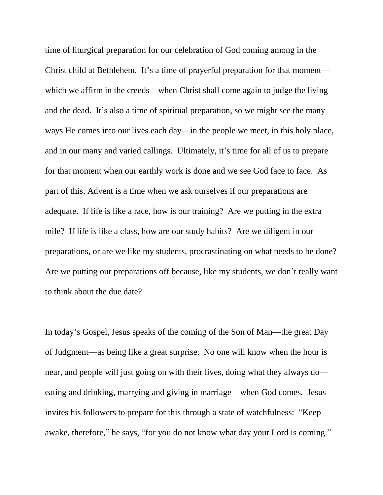time of liturgical preparation for our celebration of God coming among in the Christ child at Bethlehem. It's a time of prayerful preparation for that moment which we affirm in the creeds—when Christ shall come again to judge the living and the dead. It's also a time of spiritual preparation, so we might see the many ways He comes into our lives each day—in the people we meet, in this holy place, and in our many and varied callings. Ultimately, it's time for all of us to prepare for that moment when our earthly work is done and we see God face to face. As part of this, Advent is a time when we ask ourselves if our preparations are adequate. If life is like a race, how is our training? Are we putting in the extra mile? If life is like a class, how are our study habits? Are we diligent in our preparations, or are we like my students, procrastinating on what needs to be done? Are we putting our preparations off because, like my students, we don't really want to think about the due date?

In today's Gospel, Jesus speaks of the coming of the Son of Man—the great Day of Judgment—as being like a great surprise. No one will know when the hour is near, and people will just going on with their lives, doing what they always do eating and drinking, marrying and giving in marriage—when God comes. Jesus invites his followers to prepare for this through a state of watchfulness: "Keep awake, therefore," he says, "for you do not know what day your Lord is coming."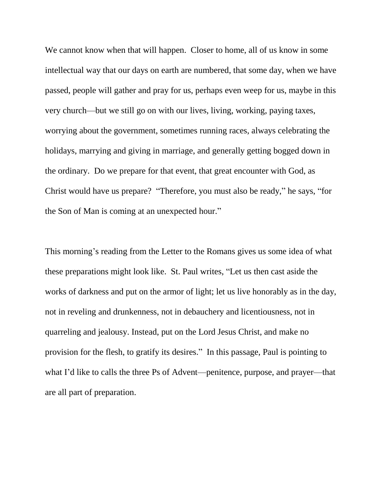We cannot know when that will happen. Closer to home, all of us know in some intellectual way that our days on earth are numbered, that some day, when we have passed, people will gather and pray for us, perhaps even weep for us, maybe in this very church—but we still go on with our lives, living, working, paying taxes, worrying about the government, sometimes running races, always celebrating the holidays, marrying and giving in marriage, and generally getting bogged down in the ordinary. Do we prepare for that event, that great encounter with God, as Christ would have us prepare? "Therefore, you must also be ready," he says, "for the Son of Man is coming at an unexpected hour."

This morning's reading from the Letter to the Romans gives us some idea of what these preparations might look like. St. Paul writes, "Let us then cast aside the works of darkness and put on the armor of light; let us live honorably as in the day, not in reveling and drunkenness, not in debauchery and licentiousness, not in quarreling and jealousy. Instead, put on the Lord Jesus Christ, and make no provision for the flesh, to gratify its desires." In this passage, Paul is pointing to what I'd like to calls the three Ps of Advent—penitence, purpose, and prayer—that are all part of preparation.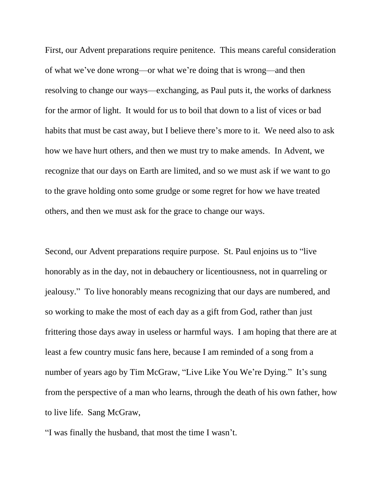First, our Advent preparations require penitence. This means careful consideration of what we've done wrong—or what we're doing that is wrong—and then resolving to change our ways—exchanging, as Paul puts it, the works of darkness for the armor of light. It would for us to boil that down to a list of vices or bad habits that must be cast away, but I believe there's more to it. We need also to ask how we have hurt others, and then we must try to make amends. In Advent, we recognize that our days on Earth are limited, and so we must ask if we want to go to the grave holding onto some grudge or some regret for how we have treated others, and then we must ask for the grace to change our ways.

Second, our Advent preparations require purpose. St. Paul enjoins us to "live honorably as in the day, not in debauchery or licentiousness, not in quarreling or jealousy." To live honorably means recognizing that our days are numbered, and so working to make the most of each day as a gift from God, rather than just frittering those days away in useless or harmful ways. I am hoping that there are at least a few country music fans here, because I am reminded of a song from a number of years ago by Tim McGraw, "Live Like You We're Dying." It's sung from the perspective of a man who learns, through the death of his own father, how to live life. Sang McGraw,

"I was finally the husband, that most the time I wasn't.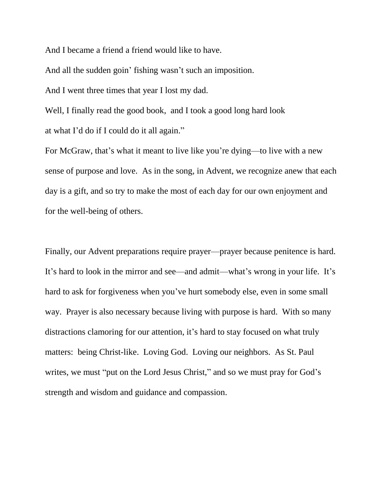And I became a friend a friend would like to have.

And all the sudden goin' fishing wasn't such an imposition.

And I went three times that year I lost my dad.

Well, I finally read the good book, and I took a good long hard look at what I'd do if I could do it all again."

For McGraw, that's what it meant to live like you're dying—to live with a new sense of purpose and love. As in the song, in Advent, we recognize anew that each day is a gift, and so try to make the most of each day for our own enjoyment and for the well-being of others.

Finally, our Advent preparations require prayer—prayer because penitence is hard. It's hard to look in the mirror and see—and admit—what's wrong in your life. It's hard to ask for forgiveness when you've hurt somebody else, even in some small way. Prayer is also necessary because living with purpose is hard. With so many distractions clamoring for our attention, it's hard to stay focused on what truly matters: being Christ-like. Loving God. Loving our neighbors. As St. Paul writes, we must "put on the Lord Jesus Christ," and so we must pray for God's strength and wisdom and guidance and compassion.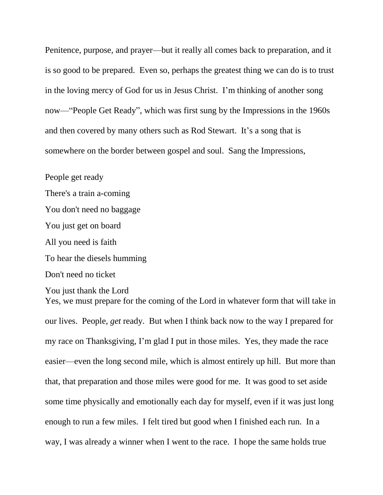Penitence, purpose, and prayer—but it really all comes back to preparation, and it is so good to be prepared. Even so, perhaps the greatest thing we can do is to trust in the loving mercy of God for us in Jesus Christ. I'm thinking of another song now—"People Get Ready", which was first sung by the Impressions in the 1960s and then covered by many others such as Rod Stewart. It's a song that is somewhere on the border between gospel and soul. Sang the Impressions,

People get ready There's a [train](https://www.definitions.net/definition/train) a-coming You don't need no baggage You just get on board All you need is faith To hear the [diesels](https://www.definitions.net/definition/diesels) humming Don't need no ticket You just [thank](https://www.definitions.net/definition/thank) the Lord Yes, we must prepare for the coming of the Lord in whatever form that will take in our lives. People, *get* ready. But when I think back now to the way I prepared for my race on Thanksgiving, I'm glad I put in those miles. Yes, they made the race easier—even the long second mile, which is almost entirely up hill. But more than that, that preparation and those miles were good for me. It was good to set aside some time physically and emotionally each day for myself, even if it was just long enough to run a few miles. I felt tired but good when I finished each run. In a way, I was already a winner when I went to the race. I hope the same holds true